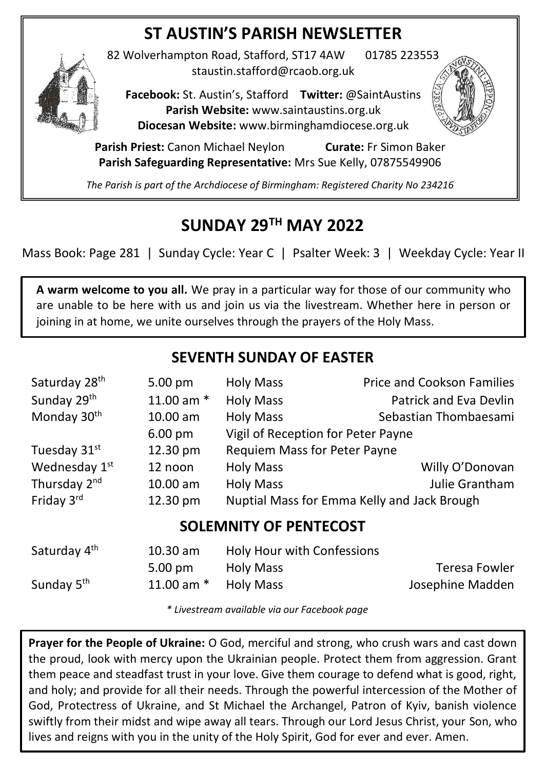## **ST AUSTIN'S PARISH NEWSLETTER**



82 Wolverhampton Road, Stafford, ST17 4AW 01785 223553 staustin.stafford@rcaob.org.uk

**Facebook:** St. Austin's, Stafford **Twitter:** @SaintAustins **Parish Website:** [www.saintaustins.org.uk](http://www.saintaustins.org.uk/) **Diocesan Website:** [www.birminghamdiocese.org.uk](http://www.birminghamdiocese.org.uk/)

**Parish Priest:** Canon Michael Neylon **Curate:** Fr Simon Baker **Parish Safeguarding Representative:** Mrs Sue Kelly, 07875549906

*The Parish is part of the Archdiocese of Birmingham: Registered Charity No 234216*

## **SUNDAY 29TH MAY 2022**

Mass Book: Page 281 | Sunday Cycle: Year C | Psalter Week: 3 | Weekday Cycle: Year II

**A warm welcome to you all.** We pray in a particular way for those of our community who are unable to be here with us and join us via the livestream. Whether here in person or joining in at home, we unite ourselves through the prayers of the Holy Mass.

## **SEVENTH SUNDAY OF EASTER**

| Saturday 28 <sup>th</sup>     | 5.00 pm           | <b>Holy Mass</b>                            | <b>Price and Cookson Families</b> |  |  |
|-------------------------------|-------------------|---------------------------------------------|-----------------------------------|--|--|
| Sunday 29 <sup>th</sup>       | 11.00 am $*$      | <b>Holy Mass</b>                            | <b>Patrick and Eva Devlin</b>     |  |  |
| Monday 30 <sup>th</sup>       | 10.00 am          | <b>Holy Mass</b>                            | Sebastian Thombaesami             |  |  |
|                               | $6.00 \text{ pm}$ | Vigil of Reception for Peter Payne          |                                   |  |  |
| Tuesday 31st                  | 12.30 pm          | <b>Requiem Mass for Peter Payne</b>         |                                   |  |  |
| Wednesday 1 <sup>st</sup>     | 12 noon           | <b>Holy Mass</b>                            | Willy O'Donovan                   |  |  |
| Thursday 2 <sup>nd</sup>      | 10.00 am          | <b>Holy Mass</b>                            | <b>Julie Grantham</b>             |  |  |
| Friday 3rd                    | 12.30 pm          | Nuptial Mass for Emma Kelly and Jack Brough |                                   |  |  |
| <b>SOLEMNITY OF PENTECOST</b> |                   |                                             |                                   |  |  |
| Saturday 4 <sup>th</sup>      | 10.30 am          | Holy Hour with Confessions                  |                                   |  |  |
|                               | 5.00 pm           | <b>Holy Mass</b>                            | Teresa Fowler                     |  |  |
| Sunday 5 <sup>th</sup>        | 11.00 am $*$      | <b>Holy Mass</b>                            | Josephine Madden                  |  |  |

*\* Livestream available via our Facebook page*

**Prayer for the People of Ukraine:** O God, merciful and strong, who crush wars and cast down the proud, look with mercy upon the Ukrainian people. Protect them from aggression. Grant them peace and steadfast trust in your love. Give them courage to defend what is good, right, and holy; and provide for all their needs. Through the powerful intercession of the Mother of God, Protectress of Ukraine, and St Michael the Archangel, Patron of Kyiv, banish violence swiftly from their midst and wipe away all tears. Through our Lord Jesus Christ, your Son, who lives and reigns with you in the unity of the Holy Spirit, God for ever and ever. Amen.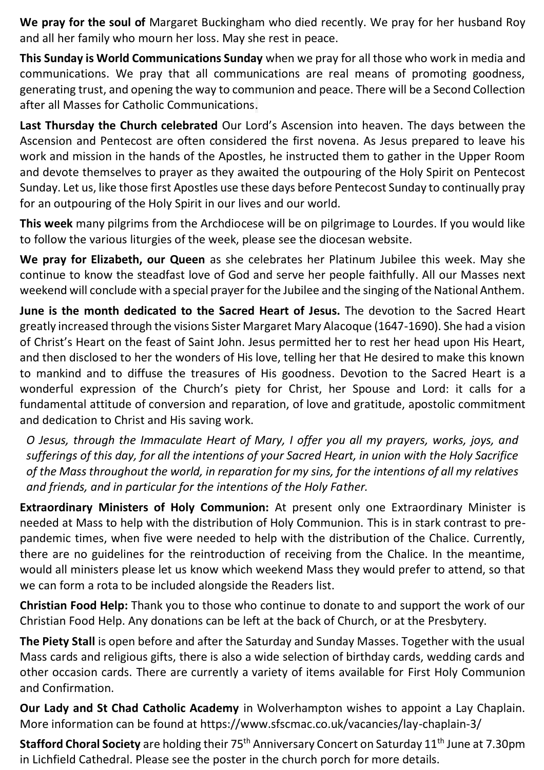**We pray for the soul of** Margaret Buckingham who died recently. We pray for her husband Roy and all her family who mourn her loss. May she rest in peace.

**This Sunday is World Communications Sunday** when we pray for all those who work in media and communications. We pray that all communications are real means of promoting goodness, generating trust, and opening the way to communion and peace. There will be a Second Collection after all Masses for Catholic Communications.

**Last Thursday the Church celebrated** Our Lord's Ascension into heaven. The days between the Ascension and Pentecost are often considered the first novena. As Jesus prepared to leave his work and mission in the hands of the Apostles, he instructed them to gather in the Upper Room and devote themselves to prayer as they awaited the outpouring of the Holy Spirit on Pentecost Sunday. Let us, like those first Apostles use these days before Pentecost Sunday to continually pray for an outpouring of the Holy Spirit in our lives and our world.

**This week** many pilgrims from the Archdiocese will be on pilgrimage to Lourdes. If you would like to follow the various liturgies of the week, please see the diocesan website.

**We pray for Elizabeth, our Queen** as she celebrates her Platinum Jubilee this week. May she continue to know the steadfast love of God and serve her people faithfully. All our Masses next weekend will conclude with a special prayer for the Jubilee and the singing of the National Anthem.

**June is the month dedicated to the Sacred Heart of Jesus.** The devotion to the Sacred Heart greatly increased through the visions Sister Margaret Mary Alacoque (1647-1690). She had a vision of Christ's Heart on the feast of Saint John. Jesus permitted her to rest her head upon His Heart, and then disclosed to her the wonders of His love, telling her that He desired to make this known to mankind and to diffuse the treasures of His goodness. Devotion to the Sacred Heart is a wonderful expression of the Church's piety for Christ, her Spouse and Lord: it calls for a fundamental attitude of conversion and reparation, of love and gratitude, apostolic commitment and dedication to Christ and His saving work.

*O Jesus, through the Immaculate Heart of Mary, I offer you all my prayers, works, joys, and sufferings of this day, for all the intentions of your Sacred Heart, in union with the Holy Sacrifice of the Mass throughout the world, in reparation for my sins, for the intentions of all my relatives and friends, and in particular for the intentions of the Holy Father.*

**Extraordinary Ministers of Holy Communion:** At present only one Extraordinary Minister is needed at Mass to help with the distribution of Holy Communion. This is in stark contrast to prepandemic times, when five were needed to help with the distribution of the Chalice. Currently, there are no guidelines for the reintroduction of receiving from the Chalice. In the meantime, would all ministers please let us know which weekend Mass they would prefer to attend, so that we can form a rota to be included alongside the Readers list.

**Christian Food Help:** Thank you to those who continue to donate to and support the work of our Christian Food Help. Any donations can be left at the back of Church, or at the Presbytery.

**The Piety Stall** is open before and after the Saturday and Sunday Masses. Together with the usual Mass cards and religious gifts, there is also a wide selection of birthday cards, wedding cards and other occasion cards. There are currently a variety of items available for First Holy Communion and Confirmation.

**Our Lady and St Chad Catholic Academy** in Wolverhampton wishes to appoint a Lay Chaplain. More information can be found at https://www.sfscmac.co.uk/vacancies/lay-chaplain-3/

**Stafford Choral Society** are holding their 75<sup>th</sup> Anniversary Concert on Saturday 11<sup>th</sup> June at 7.30pm in Lichfield Cathedral. Please see the poster in the church porch for more details.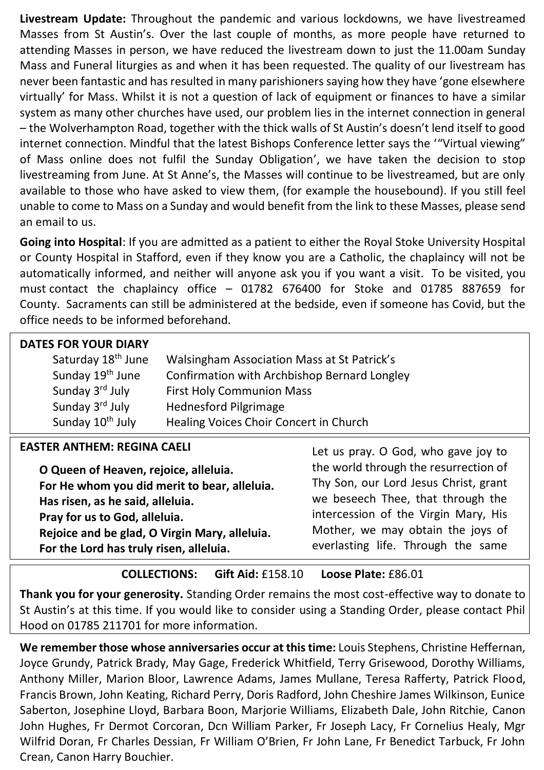**Livestream Update:** Throughout the pandemic and various lockdowns, we have livestreamed Masses from St Austin's. Over the last couple of months, as more people have returned to attending Masses in person, we have reduced the livestream down to just the 11.00am Sunday Mass and Funeral liturgies as and when it has been requested. The quality of our livestream has never been fantastic and has resulted in many parishioners saying how they have 'gone elsewhere virtually' for Mass. Whilst it is not a question of lack of equipment or finances to have a similar system as many other churches have used, our problem lies in the internet connection in general – the Wolverhampton Road, together with the thick walls of St Austin's doesn't lend itself to good internet connection. Mindful that the latest Bishops Conference letter says the '"Virtual viewing" of Mass online does not fulfil the Sunday Obligation', we have taken the decision to stop livestreaming from June. At St Anne's, the Masses will continue to be livestreamed, but are only available to those who have asked to view them, (for example the housebound). If you still feel unable to come to Mass on a Sunday and would benefit from the link to these Masses, please send an email to us.

**Going into Hospital**: If you are admitted as a patient to either the Royal Stoke University Hospital or County Hospital in Stafford, even if they know you are a Catholic, the chaplaincy will not be automatically informed, and neither will anyone ask you if you want a visit. To be visited, you must contact the chaplaincy office – 01782 676400 for Stoke and 01785 887659 for County. Sacraments can still be administered at the bedside, even if someone has Covid, but the office needs to be informed beforehand.

| <b>DATES FOR YOUR DIARY</b>    |                                              |  |  |
|--------------------------------|----------------------------------------------|--|--|
| Saturday 18 <sup>th</sup> June | Walsingham Association Mass at St Patrick's  |  |  |
| Sunday 19 <sup>th</sup> June   | Confirmation with Archbishop Bernard Longley |  |  |
| Sunday 3rd July                | <b>First Holy Communion Mass</b>             |  |  |
| Sunday 3rd July                | <b>Hednesford Pilgrimage</b>                 |  |  |
| Sunday 10 <sup>th</sup> July   | Healing Voices Choir Concert in Church       |  |  |
|                                |                                              |  |  |

| <b>EASTER ANTHEM: REGINA CAELI</b>            | Let us pray. O God, who gave joy to   |
|-----------------------------------------------|---------------------------------------|
| O Queen of Heaven, rejoice, alleluia.         | the world through the resurrection of |
| For He whom you did merit to bear, alleluia.  | Thy Son, our Lord Jesus Christ, grant |
| Has risen, as he said, alleluia.              | we beseech Thee, that through the     |
| Pray for us to God, alleluia.                 | intercession of the Virgin Mary, His  |
| Rejoice and be glad, O Virgin Mary, alleluia. | Mother, we may obtain the joys of     |
| For the Lord has truly risen, alleluia.       | everlasting life. Through the same    |
|                                               |                                       |

**COLLECTIONS: Gift Aid:** £158.10 **Loose Plate:** £86.01

**Thank you for your generosity.** Standing Order remains the most cost-effective way to donate to St Austin's at this time. If you would like to consider using a Standing Order, please contact Phil Hood on 01785 211701 for more information.

**We remember those whose anniversaries occur at this time:** Louis Stephens, Christine Heffernan, Joyce Grundy, Patrick Brady, May Gage, Frederick Whitfield, Terry Grisewood, Dorothy Williams, Anthony Miller, Marion Bloor, Lawrence Adams, James Mullane, Teresa Rafferty, Patrick Flood, Francis Brown, John Keating, Richard Perry, Doris Radford, John Cheshire James Wilkinson, Eunice Saberton, Josephine Lloyd, Barbara Boon, Marjorie Williams, Elizabeth Dale, John Ritchie, Canon John Hughes, Fr Dermot Corcoran, Dcn William Parker, Fr Joseph Lacy, Fr Cornelius Healy, Mgr Wilfrid Doran, Fr Charles Dessian, Fr William O'Brien, Fr John Lane, Fr Benedict Tarbuck, Fr John Crean, Canon Harry Bouchier.